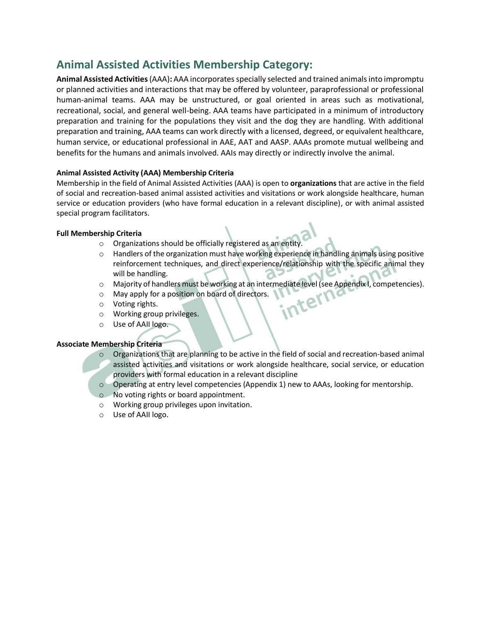# **Animal Assisted Activities Membership Category:**

**Animal Assisted Activities** (AAA)**:** AAA incorporates specially selected and trained animals into impromptu or planned activities and interactions that may be offered by volunteer, paraprofessional or professional human-animal teams. AAA may be unstructured, or goal oriented in areas such as motivational, recreational, social, and general well-being. AAA teams have participated in a minimum of introductory preparation and training for the populations they visit and the dog they are handling. With additional preparation and training, AAA teams can work directly with a licensed, degreed, or equivalent healthcare, human service, or educational professional in AAE, AAT and AASP. AAAs promote mutual wellbeing and benefits for the humans and animals involved. AAIs may directly or indirectly involve the animal.

## **Animal Assisted Activity (AAA) Membership Criteria**

Membership in the field of Animal Assisted Activities (AAA) is open to **organizations** that are active in the field of social and recreation-based animal assisted activities and visitations or work alongside healthcare, human service or education providers (who have formal education in a relevant discipline), or with animal assisted special program facilitators.

## **Full Membership Criteria**

- o Organizations should be officially registered as an entity.
- o Handlers of the organization must have working experience in handling animals using positive reinforcement techniques, and direct experience/relationship with the specific animal they will be handling.  $\circ$
- O Majority of handlers must be working at an intermediate level (see Appendix I, competencies).<br>
O May apply for a position on board of directors.<br>
O Working group privileges
- o May apply for a position on board of directors.
- o Voting rights.
- o Working group privileges.
- o Use of AAII logo.

## **Associate Membership Criteria**

- $\circ$  Organizations that are planning to be active in the field of social and recreation-based animal assisted activities and visitations or work alongside healthcare, social service, or education providers with formal education in a relevant discipline
- o Operating at entry level competencies (Appendix 1) new to AAAs, looking for mentorship.
- o No voting rights or board appointment.
- o Working group privileges upon invitation.
- o Use of AAII logo.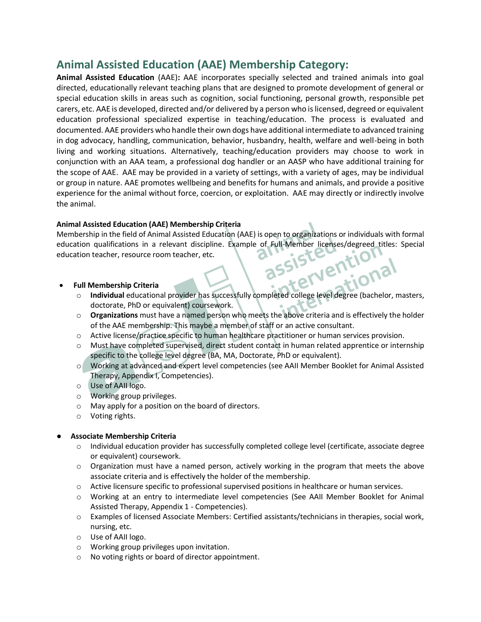# **Animal Assisted Education (AAE) Membership Category:**

**Animal Assisted Education** (AAE)**:** AAE incorporates specially selected and trained animals into goal directed, educationally relevant teaching plans that are designed to promote development of general or special education skills in areas such as cognition, social functioning, personal growth, responsible pet carers, etc. AAE is developed, directed and/or delivered by a person who is licensed, degreed or equivalent education professional specialized expertise in teaching/education. The process is evaluated and documented. AAE providers who handle their own dogs have additional intermediate to advanced training in dog advocacy, handling, communication, behavior, husbandry, health, welfare and well-being in both living and working situations. Alternatively, teaching/education providers may choose to work in conjunction with an AAA team, a professional dog handler or an AASP who have additional training for the scope of AAE. AAE may be provided in a variety of settings, with a variety of ages, may be individual or group in nature. AAE promotes wellbeing and benefits for humans and animals, and provide a positive experience for the animal without force, coercion, or exploitation. AAE may directly or indirectly involve the animal.

# **Animal Assisted Education (AAE) Membership Criteria**

Membership in the field of Animal Assisted Education (AAE) is open to organizations or individuals with formal education qualifications in a relevant discipline. Example of Full-Member licenses/degreed titles: Special<br>education teacher, resource room teacher, etc.<br><br>**Example of Full Membership Criteria** education teacher, resource room teacher, etc. tional

## • **Full Membership Criteria**

- o **Individual** educational provider has successfully completed college level degree (bachelor, masters, doctorate, PhD or equivalent) coursework.
- o **Organizations** must have a named person who meets the above criteria and is effectively the holder of the AAE membership. This maybe a member of staff or an active consultant.
- o Active license/practice specific to human healthcare practitioner or human services provision.
- Must have completed supervised, direct student contact in human related apprentice or internship specific to the college level degree (BA, MA, Doctorate, PhD or equivalent).
- o Working at advanced and expert level competencies (see AAII Member Booklet for Animal Assisted Therapy, Appendix I, Competencies).
- o Use of AAII logo.
- o Working group privileges.
- o May apply for a position on the board of directors.
- o Voting rights.

## ● **Associate Membership Criteria**

- $\circ$  Individual education provider has successfully completed college level (certificate, associate degree or equivalent) coursework.
- $\circ$  Organization must have a named person, actively working in the program that meets the above associate criteria and is effectively the holder of the membership.
- o Active licensure specific to professional supervised positions in healthcare or human services.
- o Working at an entry to intermediate level competencies (See AAII Member Booklet for Animal Assisted Therapy, Appendix 1 - Competencies).
- o Examples of licensed Associate Members: Certified assistants/technicians in therapies, social work, nursing, etc.
- o Use of AAII logo.
- o Working group privileges upon invitation.
- o No voting rights or board of director appointment.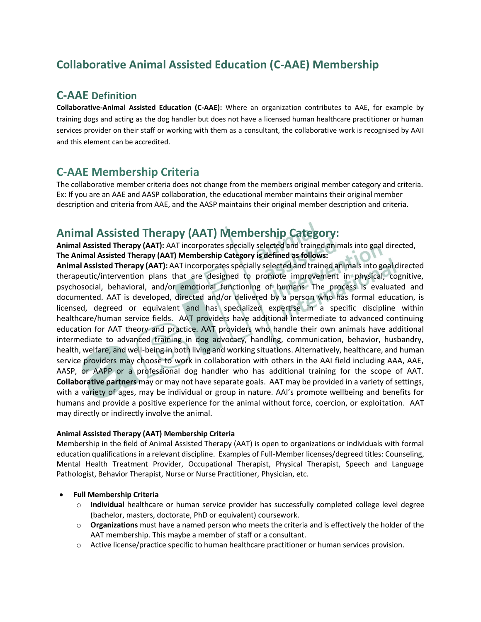# **Collaborative Animal Assisted Education (C-AAE) Membership**

# **C-AAE Definition**

**Collaborative-Animal Assisted Education (C-AAE):** Where an organization contributes to AAE, for example by training dogs and acting as the dog handler but does not have a licensed human healthcare practitioner or human services provider on their staff or working with them as a consultant, the collaborative work is recognised by AAII and this element can be accredited.

# **C-AAE Membership Criteria**

The collaborative member criteria does not change from the members original member category and criteria. Ex: If you are an AAE and AASP collaboration, the educational member maintains their original member description and criteria from AAE, and the AASP maintains their original member description and criteria.

# **Animal Assisted Therapy (AAT) Membership Category:**

**Animal Assisted Therapy (AAT):** AAT incorporates specially selected and trained animals into goal directed, **The Animal Assisted Therapy (AAT) Membership Category is defined as follows: LIO** 

**Animal Assisted Therapy (AAT):** AAT incorporates specially selected and trained animals into goal directed therapeutic/intervention plans that are designed to promote improvement in physical, cognitive, psychosocial, behavioral, and/or emotional functioning of humans. The process is evaluated and documented. AAT is developed, directed and/or delivered by a person who has formal education, is licensed, degreed or equivalent and has specialized expertise in a specific discipline within healthcare/human service fields. AAT providers have additional intermediate to advanced continuing education for AAT theory and practice. AAT providers who handle their own animals have additional intermediate to advanced training in dog advocacy, handling, communication, behavior, husbandry, health, welfare, and well-being in both living and working situations. Alternatively, healthcare, and human service providers may choose to work in collaboration with others in the AAI field including AAA, AAE, AASP, or AAPP or a professional dog handler who has additional training for the scope of AAT. **Collaborative partners** may or may not have separate goals. AAT may be provided in a variety of settings, with a variety of ages, may be individual or group in nature. AAI's promote wellbeing and benefits for humans and provide a positive experience for the animal without force, coercion, or exploitation. AAT may directly or indirectly involve the animal.

## **Animal Assisted Therapy (AAT) Membership Criteria**

Membership in the field of Animal Assisted Therapy (AAT) is open to organizations or individuals with formal education qualifications in a relevant discipline. Examples of Full-Member licenses/degreed titles: Counseling, Mental Health Treatment Provider, Occupational Therapist, Physical Therapist, Speech and Language Pathologist, Behavior Therapist, Nurse or Nurse Practitioner, Physician, etc.

## • **Full Membership Criteria**

- o **Individual** healthcare or human service provider has successfully completed college level degree (bachelor, masters, doctorate, PhD or equivalent) coursework.
- o **Organizations** must have a named person who meets the criteria and is effectively the holder of the AAT membership. This maybe a member of staff or a consultant.
- o Active license/practice specific to human healthcare practitioner or human services provision.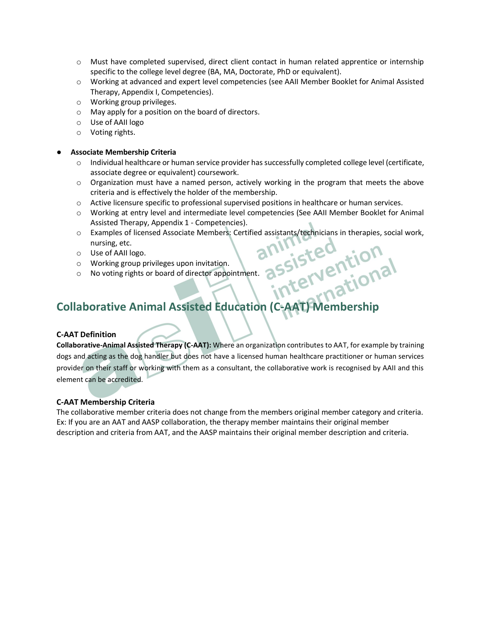- $\circ$  Must have completed supervised, direct client contact in human related apprentice or internship specific to the college level degree (BA, MA, Doctorate, PhD or equivalent).
- o Working at advanced and expert level competencies (see AAII Member Booklet for Animal Assisted Therapy, Appendix I, Competencies).
- o Working group privileges.
- o May apply for a position on the board of directors.
- o Use of AAII logo
- o Voting rights.

#### ● **Associate Membership Criteria**

- o Individual healthcare or human service provider has successfully completed college level (certificate, associate degree or equivalent) coursework.
- $\circ$  Organization must have a named person, actively working in the program that meets the above criteria and is effectively the holder of the membership.
- o Active licensure specific to professional supervised positions in healthcare or human services.
- o Working at entry level and intermediate level competencies (See AAII Member Booklet for Animal Assisted Therapy, Appendix 1 - Competencies).
- o Examples of licensed Associate Members: Certified assistants/technicians in therapies, social work, nursing, etc.
- o Use of AAII logo.
- o Working group privileges upon invitation.
- o No voting rights or board of director appointment.

# **Collaborative Animal Assisted Education (C-AAT) Membership**

## **C-AAT Definition**

**Collaborative-Animal Assisted Therapy (C-AAT):** Where an organization contributes to AAT, for example by training dogs and acting as the dog handler but does not have a licensed human healthcare practitioner or human services provider on their staff or working with them as a consultant, the collaborative work is recognised by AAII and this element can be accredited.

## **C-AAT Membership Criteria**

The collaborative member criteria does not change from the members original member category and criteria. Ex: If you are an AAT and AASP collaboration, the therapy member maintains their original member description and criteria from AAT, and the AASP maintains their original member description and criteria.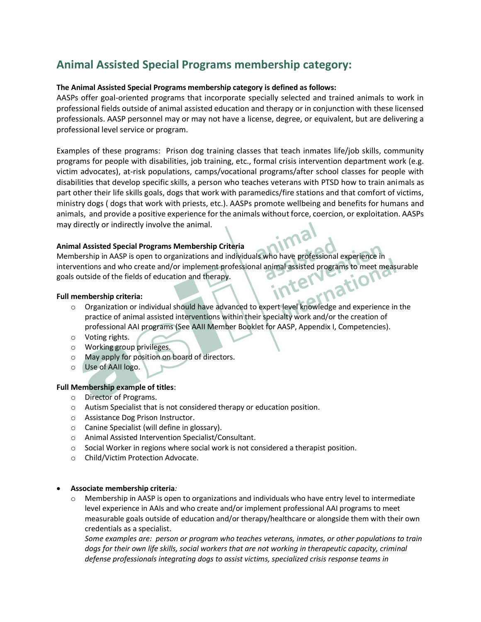# **Animal Assisted Special Programs membership category:**

#### **The Animal Assisted Special Programs membership category is defined as follows:**

AASPs offer goal-oriented programs that incorporate specially selected and trained animals to work in professional fields outside of animal assisted education and therapy or in conjunction with these licensed professionals. AASP personnel may or may not have a license, degree, or equivalent, but are delivering a professional level service or program.

Examples of these programs: Prison dog training classes that teach inmates life/job skills, community programs for people with disabilities, job training, etc., formal crisis intervention department work (e.g. victim advocates), at-risk populations, camps/vocational programs/after school classes for people with disabilities that develop specific skills, a person who teaches veterans with PTSD how to train animals as part other their life skills goals, dogs that work with paramedics/fire stations and that comfort of victims, ministry dogs ( dogs that work with priests, etc.). AASPs promote wellbeing and benefits for humans and animals, and provide a positive experience for the animals without force, coercion, or exploitation. AASPs may directly or indirectly involve the animal.

#### **Animal Assisted Special Programs Membership Criteria**

Membership in AASP is open to organizations and individuals who have professional experience in interventions and who create and/or implement professional animal assisted programs to meet measurable<br>goals outside of the fields of education and therapy.<br>Full membership criteria: goals outside of the fields of education and therapy. inter

#### **Full membership criteria:**

- o Organization or individual should have advanced to expert level knowledge and experience in the practice of animal assisted interventions within their specialty work and/or the creation of professional AAI programs (See AAII Member Booklet for AASP, Appendix I, Competencies).
- o Voting rights.
- o Working group privileges.
- o May apply for position on board of directors.
- o Use of AAII logo.

#### **Full Membership example of titles**:

- o Director of Programs.
- o Autism Specialist that is not considered therapy or education position.
- o Assistance Dog Prison Instructor.
- o Canine Specialist (will define in glossary).
- o Animal Assisted Intervention Specialist/Consultant.
- o Social Worker in regions where social work is not considered a therapist position.
- o Child/Victim Protection Advocate.

#### • **Associate membership criteria***:*

 $\circ$  Membership in AASP is open to organizations and individuals who have entry level to intermediate level experience in AAIs and who create and/or implement professional AAI programs to meet measurable goals outside of education and/or therapy/healthcare or alongside them with their own credentials as a specialist.

*Some examples are: person or program who teaches veterans, inmates, or other populations to train*  dogs for their own life skills, social workers that are not working in therapeutic capacity, criminal *defense professionals integrating dogs to assist victims, specialized crisis response teams in*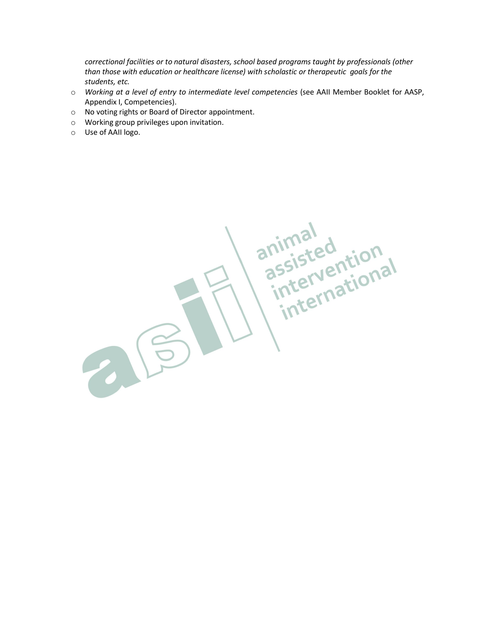*correctional facilities or to natural disasters, school based programs taught by professionals (other than those with education or healthcare license) with scholastic or therapeutic goals for the students, etc.*

- o *Working at a level of entry to intermediate level competencies* (see AAII Member Booklet for AASP, Appendix I, Competencies).
- o No voting rights or Board of Director appointment.
- o Working group privileges upon invitation.
- o Use of AAII logo.

animal<br>assisted<br>international<br>international